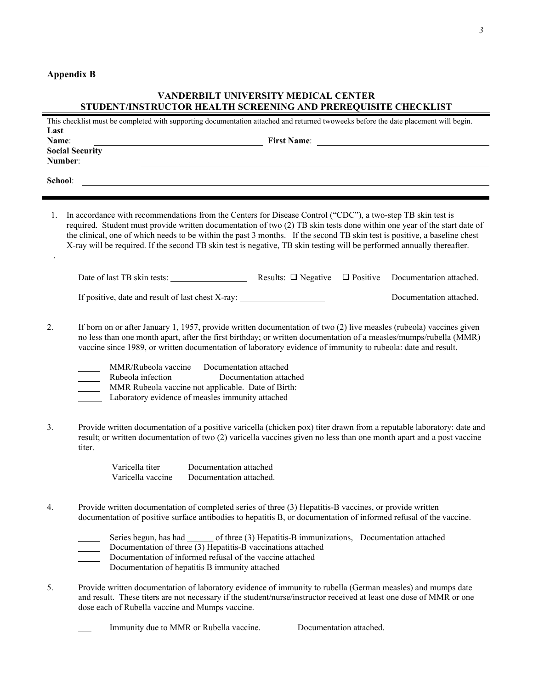## **Appendix B**

## **VANDERBILT UNIVERSITY MEDICAL CENTER STUDENT/INSTRUCTOR HEALTH SCREENING AND PREREQUISITE CHECKLIST**

| This checklist must be completed with supporting documentation attached and returned twoweeks before the date placement will begin. |                                                                                                                                                                                                                                                                                                                                                                                                                                                                                                                                                                                               |
|-------------------------------------------------------------------------------------------------------------------------------------|-----------------------------------------------------------------------------------------------------------------------------------------------------------------------------------------------------------------------------------------------------------------------------------------------------------------------------------------------------------------------------------------------------------------------------------------------------------------------------------------------------------------------------------------------------------------------------------------------|
| Last<br>Name:                                                                                                                       | First Name:                                                                                                                                                                                                                                                                                                                                                                                                                                                                                                                                                                                   |
| <b>Social Security</b><br>Number:                                                                                                   |                                                                                                                                                                                                                                                                                                                                                                                                                                                                                                                                                                                               |
|                                                                                                                                     | School:<br><u> 1989 - Johann Stoff, amerikansk politiker (d. 1989)</u>                                                                                                                                                                                                                                                                                                                                                                                                                                                                                                                        |
| 1.                                                                                                                                  | In accordance with recommendations from the Centers for Disease Control ("CDC"), a two-step TB skin test is<br>required. Student must provide written documentation of two (2) TB skin tests done within one year of the start date of<br>the clinical, one of which needs to be within the past 3 months. If the second TB skin test is positive, a baseline chest<br>X-ray will be required. If the second TB skin test is negative, TB skin testing will be performed annually thereafter.                                                                                                 |
|                                                                                                                                     | $\Box$ Positive<br>Documentation attached.                                                                                                                                                                                                                                                                                                                                                                                                                                                                                                                                                    |
|                                                                                                                                     | If positive, date and result of last chest X-ray: ______________________________<br>Documentation attached.                                                                                                                                                                                                                                                                                                                                                                                                                                                                                   |
| 2.                                                                                                                                  | If born on or after January 1, 1957, provide written documentation of two (2) live measles (rubeola) vaccines given<br>no less than one month apart, after the first birthday; or written documentation of a measles/mumps/rubella (MMR)<br>vaccine since 1989, or written documentation of laboratory evidence of immunity to rubeola: date and result.<br>MMR/Rubeola vaccine Documentation attached<br>Rubeola infection<br>Documentation attached<br>$\mathcal{L}(\mathcal{L})$<br>MMR Rubeola vaccine not applicable. Date of Birth:<br>Laboratory evidence of measles immunity attached |
| 3.                                                                                                                                  | Provide written documentation of a positive varicella (chicken pox) titer drawn from a reputable laboratory: date and<br>result; or written documentation of two (2) varicella vaccines given no less than one month apart and a post vaccine<br>titer.                                                                                                                                                                                                                                                                                                                                       |
|                                                                                                                                     | Varicella titer<br>Documentation attached<br>Varicella vaccine<br>Documentation attached.                                                                                                                                                                                                                                                                                                                                                                                                                                                                                                     |
| 4.                                                                                                                                  | Provide written documentation of completed series of three (3) Hepatitis-B vaccines, or provide written<br>documentation of positive surface antibodies to hepatitis B, or documentation of informed refusal of the vaccine.                                                                                                                                                                                                                                                                                                                                                                  |
|                                                                                                                                     | Series begun, has had ______ of three (3) Hepatitis-B immunizations, Documentation attached<br>Documentation of three (3) Hepatitis-B vaccinations attached<br>Documentation of informed refusal of the vaccine attached<br>Documentation of hepatitis B immunity attached                                                                                                                                                                                                                                                                                                                    |
| 5.                                                                                                                                  | Provide written documentation of laboratory evidence of immunity to rubella (German measles) and mumps date<br>and result. These titers are not necessary if the student/nurse/instructor received at least one dose of MMR or one<br>dose each of Rubella vaccine and Mumps vaccine.                                                                                                                                                                                                                                                                                                         |

Immunity due to MMR or Rubella vaccine. Documentation attached.